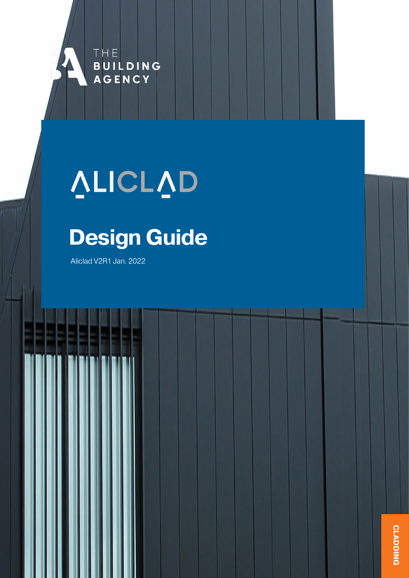

# VLICLVD

## **Design Guide**

Aliclad V2R1 Jan. 2022

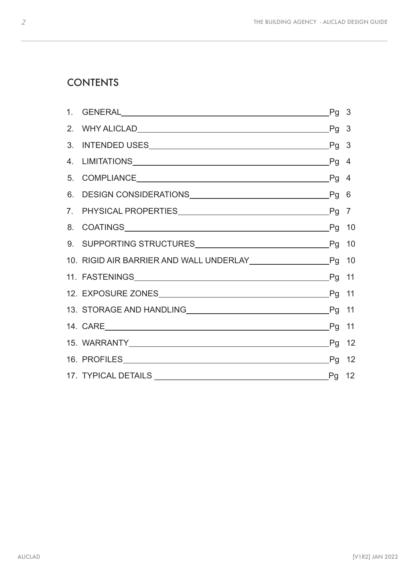## **CONTENTS**

| 13. STORAGE AND HANDLING LASTORAGE AND HANDLING LASTORAGE AND HANDLING LASTORAGE AND HANDLING LASTORAGE AND HANDLING LASTORAGE AND HANDLING LASTORAGE AND HANDLING LASTORAGE AND HANDLING LASTORAGE AND HANDLING LASTORAGE AND |  |
|--------------------------------------------------------------------------------------------------------------------------------------------------------------------------------------------------------------------------------|--|
|                                                                                                                                                                                                                                |  |
|                                                                                                                                                                                                                                |  |
|                                                                                                                                                                                                                                |  |
|                                                                                                                                                                                                                                |  |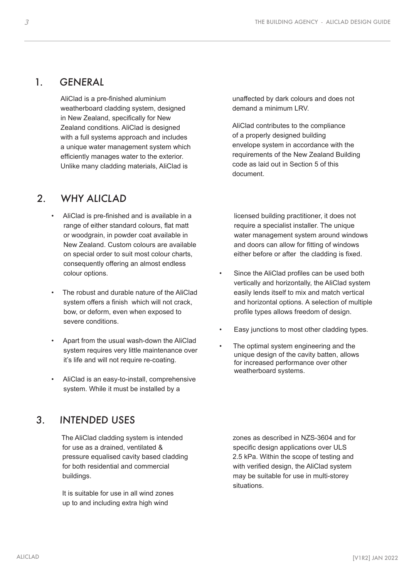## <span id="page-2-0"></span>1. GENERAL

AliClad is a pre-finished aluminium weatherboard cladding system, designed in New Zealand, specifically for New Zealand conditions. AliClad is designed with a full systems approach and includes a unique water management system which efficiently manages water to the exterior. Unlike many cladding materials, AliClad is

## 2. WHY ALICLAD

- AliClad is pre-finished and is available in a range of either standard colours, flat matt or woodgrain, in powder coat available in New Zealand. Custom colours are available on special order to suit most colour charts, consequently offering an almost endless colour options.
- The robust and durable nature of the AliClad system offers a finish which will not crack, bow, or deform, even when exposed to severe conditions.
- Apart from the usual wash-down the AliClad system requires very little maintenance over it's life and will not require re-coating.
- AliClad is an easy-to-install, comprehensive system. While it must be installed by a

## 3. INTENDED USES

The AliClad cladding system is intended for use as a drained, ventilated & pressure equalised cavity based cladding for both residential and commercial buildings.

It is suitable for use in all wind zones up to and including extra high wind

unaffected by dark colours and does not demand a minimum LRV.

AliClad contributes to the compliance of a properly designed building envelope system in accordance with the requirements of the New Zealand Building code as laid out in Section 5 of this document.

licensed building practitioner, it does not require a specialist installer. The unique water management system around windows and doors can allow for fitting of windows either before or after the cladding is fixed.

- Since the AliClad profiles can be used both vertically and horizontally, the AliClad system easily lends itself to mix and match vertical and horizontal options. A selection of multiple profile types allows freedom of design.
- Easy junctions to most other cladding types.
- The optimal system engineering and the unique design of the cavity batten, allows for increased performance over other weatherboard systems.

zones as described in NZS-3604 and for specific design applications over ULS 2.5 kPa. Within the scope of testing and with verified design, the AliClad system may be suitable for use in multi-storey situations.

ALICLAD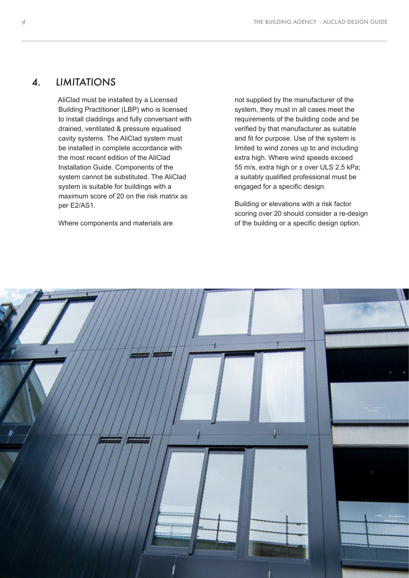#### 4. LIMITATIONS

AliClad must be installed by a Licensed Building Practitioner (LBP) who is licensed to install claddings and fully conversant with drained, ventilated & pressure equalised cavity systems. The AliClad system must be installed in complete accordance with the most recent edition of the AliClad Installation Guide. Components of the system cannot be substituted. The AliClad system is suitable for buildings with a maximum score of 20 on the risk matrix as per E2/AS1.

Where components and materials are

not supplied by the manufacturer of the system, they must in all cases meet the requirements of the building code and be verified by that manufacturer as suitable and fit for purpose. Use of the system is limited to wind zones up to and including extra high. Where wind speeds exceed 55 m/s, extra high or ± over ULS 2.5 kPa; a suitably qualified professional must be engaged for a specific design.

Building or elevations with a risk factor scoring over 20 should consider a re-design of the building or a specific design option.

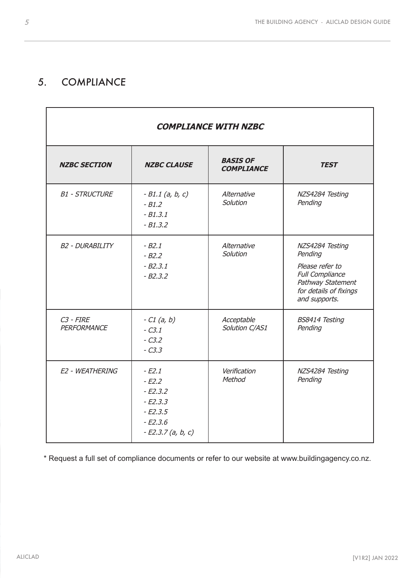## 5. COMPLIANCE

| <b>COMPLIANCE WITH NZBC</b>  |                                                                                               |                                      |                                                                                                                                         |  |
|------------------------------|-----------------------------------------------------------------------------------------------|--------------------------------------|-----------------------------------------------------------------------------------------------------------------------------------------|--|
| <b>NZBC SECTION</b>          | <b>NZBC CLAUSE</b>                                                                            | <b>BASIS OF</b><br><b>COMPLIANCE</b> | <b>TEST</b>                                                                                                                             |  |
| <b>B1 - STRUCTURE</b>        | $-B1.1$ (a, b, c)<br>$-B1.2$<br>$-B1.3.1$<br>$-B1.3.2$                                        | Alternative<br>Solution              | NZS4284 Testing<br>Pending                                                                                                              |  |
| <b>B2 - DURABILITY</b>       | $-B2.1$<br>$-B2.2$<br>$-B2.3.1$<br>$-B2.3.2$                                                  | Alternative<br>Solution              | NZS4284 Testing<br>Pending<br>Please refer to<br><b>Full Compliance</b><br>Pathway Statement<br>for details of fixings<br>and supports. |  |
| $C3$ - $FIRE$<br>PERFORMANCE | $-C1(a, b)$<br>$-C3.1$<br>$-C3.2$<br>$-C3.3$                                                  | Acceptable<br>Solution C/AS1         | <b>BS8414 Testing</b><br>Pending                                                                                                        |  |
| E2 - WEATHERING              | $-E2.1$<br>$-E2.2$<br>$-E2.3.2$<br>$-E2.3.3$<br>$-E2.3.5$<br>$-E2.3.6$<br>$-E2.3.7$ (a, b, c) | Verification<br>Method               | NZS4284 Testing<br>Pending                                                                                                              |  |

\* Request a full set of compliance documents or refer to our website at www.buildingagency.co.nz.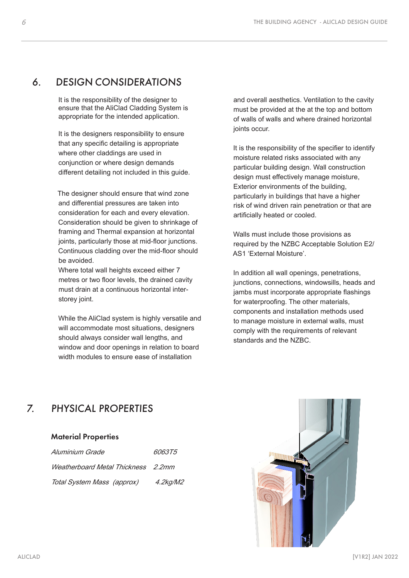#### 6. DESIGN CONSIDERATIONS

It is the responsibility of the designer to ensure that the AliClad Cladding System is appropriate for the intended application.

It is the designers responsibility to ensure that any specific detailing is appropriate where other claddings are used in conjunction or where design demands different detailing not included in this guide.

The designer should ensure that wind zone and differential pressures are taken into consideration for each and every elevation. Consideration should be given to shrinkage of framing and Thermal expansion at horizontal joints, particularly those at mid-floor junctions. Continuous cladding over the mid-floor should be avoided.

Where total wall heights exceed either 7 metres or two floor levels, the drained cavity must drain at a continuous horizontal interstorey joint.

While the AliClad system is highly versatile and will accommodate most situations, designers should always consider wall lengths, and window and door openings in relation to board width modules to ensure ease of installation

and overall aesthetics. Ventilation to the cavity must be provided at the at the top and bottom of walls of walls and where drained horizontal joints occur.

It is the responsibility of the specifier to identify moisture related risks associated with any particular building design. Wall construction design must effectively manage moisture, Exterior environments of the building, particularly in buildings that have a higher risk of wind driven rain penetration or that are artificially heated or cooled.

Walls must include those provisions as required by the NZBC Acceptable Solution E2/ AS1 'External Moisture'.

In addition all wall openings, penetrations, junctions, connections, windowsills, heads and jambs must incorporate appropriate flashings for waterproofing. The other materials, components and installation methods used to manage moisture in external walls, must comply with the requirements of relevant standards and the NZBC.

## 7. PHYSICAL PROPERTIES

#### Material Properties

| Aluminium Grade                    | 606375      |
|------------------------------------|-------------|
| Weatherboard Metal Thickness 2.2mm |             |
| Total System Mass (approx)         | $4.2$ kg/M2 |

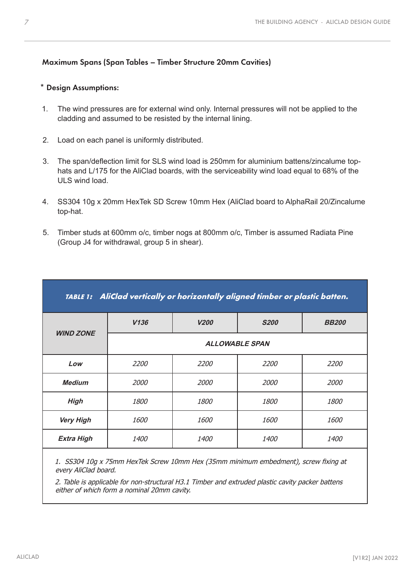#### Maximum Spans (Span Tables – Timber Structure 20mm Cavities)

#### \* Design Assumptions:

- 1. The wind pressures are for external wind only. Internal pressures will not be applied to the cladding and assumed to be resisted by the internal lining.
- 2. Load on each panel is uniformly distributed.
- 3. The span/deflection limit for SLS wind load is 250mm for aluminium battens/zincalume tophats and L/175 for the AliClad boards, with the serviceability wind load equal to 68% of the ULS wind load.
- 4. SS304 10g x 20mm HexTek SD Screw 10mm Hex (AliClad board to AlphaRail 20/Zincalume top-hat.
- 5. Timber studs at 600mm o/c, timber nogs at 800mm o/c, Timber is assumed Radiata Pine (Group J4 for withdrawal, group 5 in shear).

| TABLE 1: AliClad vertically or horizontally aligned timber or plastic batten. |                       |             |             |              |  |
|-------------------------------------------------------------------------------|-----------------------|-------------|-------------|--------------|--|
|                                                                               | V136                  | <b>V200</b> | <b>S200</b> | <b>BB200</b> |  |
| <b>WIND ZONE</b>                                                              | <b>ALLOWABLE SPAN</b> |             |             |              |  |
| Low                                                                           | 2200                  | <i>2200</i> | 2200        | <i>2200</i>  |  |
| <b>Medium</b>                                                                 | 2000                  | <i>2000</i> | 2000        | <i>2000</i>  |  |
| <b>High</b>                                                                   | <i>1800</i>           | <i>1800</i> | <i>1800</i> | <i>1800</i>  |  |
| <b>Very High</b>                                                              | 1600                  | <i>1600</i> | 1600        | <i>1600</i>  |  |
| <b>Extra High</b>                                                             | <i>1400</i>           | <i>1400</i> | <i>1400</i> | <i>1400</i>  |  |

1. SS304 10g x 75mm HexTek Screw 10mm Hex (35mm minimum embedment), screw fixing at every AliClad board.

2. Table is applicable for non-structural H3.1 Timber and extruded plastic cavity packer battens either of which form a nominal 20mm cavity.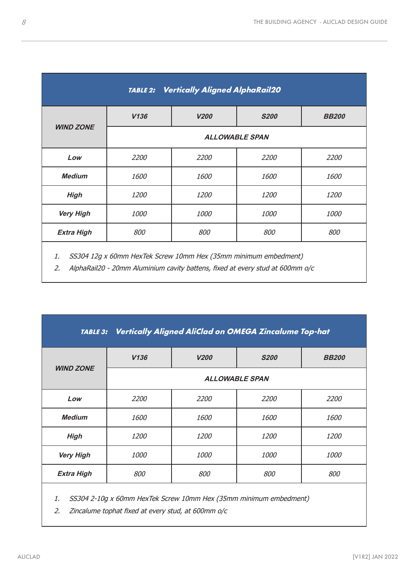| <b>Vertically Aligned AlphaRail20</b><br><b>TABLE 2:</b>              |                       |             |             |              |  |
|-----------------------------------------------------------------------|-----------------------|-------------|-------------|--------------|--|
|                                                                       | V136                  | <b>V200</b> | <b>S200</b> | <b>BB200</b> |  |
| <b>WIND ZONE</b>                                                      | <b>ALLOWABLE SPAN</b> |             |             |              |  |
| Low                                                                   | 2200                  | 2200        | 2200        | 2200         |  |
| <b>Medium</b>                                                         | 1600                  | 1600        | 1600        | 1600         |  |
| <b>High</b>                                                           | 1200                  | 1200        | 1200        | <i>1200</i>  |  |
| <b>Very High</b>                                                      | 1000                  | <i>1000</i> | 1000        | <i>1000</i>  |  |
| 800<br><b>Extra High</b><br>800<br>800                                |                       | 800         |             |              |  |
| SS304 12g x 60mm HexTek Screw 10mm Hex (35mm minimum embedment)<br>1. |                       |             |             |              |  |

2. AlphaRail20 - 20mm Aluminium cavity battens, fixed at every stud at 600mm o/c

| TABLE 3: Vertically Aligned AliClad on OMEGA Zincalume Top-hat |             |                       |             |              |  |
|----------------------------------------------------------------|-------------|-----------------------|-------------|--------------|--|
| <b>WIND ZONE</b>                                               | V136        | <b>V200</b>           | <b>S200</b> | <b>BB200</b> |  |
|                                                                |             | <b>ALLOWABLE SPAN</b> |             |              |  |
| Low                                                            | 2200        | <i>2200</i>           | 2200        | <i>2200</i>  |  |
| <b>Medium</b>                                                  | 1600        | <i>1600</i>           | 1600        | <i>1600</i>  |  |
| <b>High</b>                                                    | 1200        | <i>1200</i>           | 1200        | <i>1200</i>  |  |
| <b>Very High</b>                                               | <i>1000</i> | <i>1000</i>           | <i>1000</i> | 1000         |  |
| <b>Extra High</b>                                              | 800         | 800                   | 800         | 800          |  |
|                                                                |             |                       |             |              |  |

1. SS304 2-10g x 60mm HexTek Screw 10mm Hex (35mm minimum embedment)

2. Zincalume tophat fixed at every stud, at 600mm o/c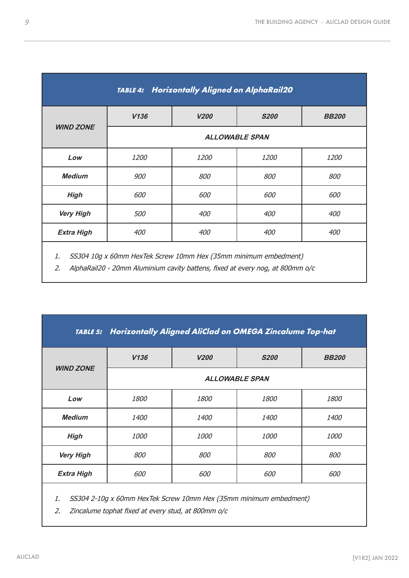| <b>Horizontally Aligned on AlphaRail20</b><br><b>TABLE 4:</b> |      |                       |             |              |  |
|---------------------------------------------------------------|------|-----------------------|-------------|--------------|--|
|                                                               | V136 | <b>V200</b>           | <b>S200</b> | <b>BB200</b> |  |
| <b>WIND ZONE</b>                                              |      | <b>ALLOWABLE SPAN</b> |             |              |  |
| Low                                                           | 1200 | 1200                  | 1200        | 1200         |  |
| <b>Medium</b>                                                 | 900  | 800                   | 800         | 800          |  |
| <b>High</b>                                                   | 600  | 600                   | 600         | 600          |  |
| <b>Very High</b>                                              | 500  | 400                   | 400         | 400          |  |
| <b>Extra High</b>                                             | 400  | 400                   | 400         | 400          |  |
| $\overline{a}$ concerns                                       |      |                       |             |              |  |

1. SS304 10g x 60mm HexTek Screw 10mm Hex (35mm minimum embedment)

2. AlphaRail20 - 20mm Aluminium cavity battens, fixed at every nog, at 800mm o/c

| TABLE 5: Horizontally Aligned AliClad on OMEGA Zincalume Top-hat |            |                       |             |              |  |
|------------------------------------------------------------------|------------|-----------------------|-------------|--------------|--|
| <b>WIND ZONE</b>                                                 | V136       | <b>V200</b>           | <b>S200</b> | <b>BB200</b> |  |
|                                                                  |            | <b>ALLOWABLE SPAN</b> |             |              |  |
| Low                                                              | 1800       | <i>1800</i>           | 1800        | <i>1800</i>  |  |
| <b>Medium</b>                                                    | 1400       | 1400                  | 1400        | <i>1400</i>  |  |
| <b>High</b>                                                      | 1000       | <i>1000</i>           | <i>1000</i> | <i>1000</i>  |  |
| <b>Very High</b>                                                 | <i>800</i> | <i>800</i>            | <i>800</i>  | 800          |  |
| <b>Extra High</b>                                                | <i>600</i> | <i>600</i>            | <i>600</i>  | <i>600</i>   |  |
|                                                                  |            |                       |             |              |  |

1. SS304 2-10g x 60mm HexTek Screw 10mm Hex (35mm minimum embedment)

2. Zincalume tophat fixed at every stud, at 800mm o/c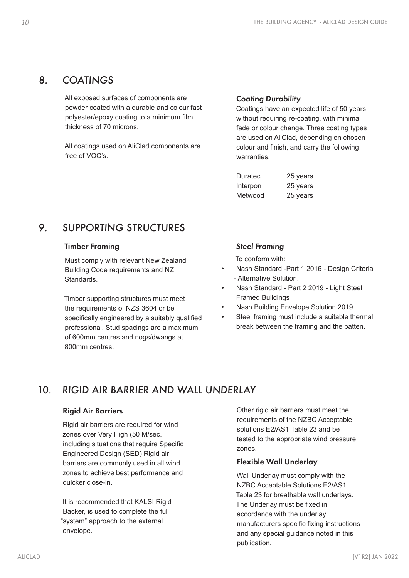#### 8. COATINGS

All exposed surfaces of components are powder coated with a durable and colour fast polyester/epoxy coating to a minimum film thickness of 70 microns.

All coatings used on AliClad components are free of VOC's.

#### Coating Durability

Coatings have an expected life of 50 years without requiring re-coating, with minimal fade or colour change. Three coating types are used on AliClad, depending on chosen colour and finish, and carry the following warranties.

| Duratec  | 25 years |
|----------|----------|
| Interpon | 25 years |
| Metwood  | 25 years |

## 9. SUPPORTING STRUCTURES

#### Timber Framing

Must comply with relevant New Zealand Building Code requirements and NZ Standards.

Timber supporting structures must meet the requirements of NZS 3604 or be specifically engineered by a suitably qualified professional. Stud spacings are a maximum of 600mm centres and nogs/dwangs at 800mm centres.

#### Steel Framing

To conform with:

- Nash Standard -Part 1 2016 Design Criteria - Alternative Solution.
- Nash Standard Part 2 2019 Light Steel Framed Buildings
- Nash Building Envelope Solution 2019
- Steel framing must include a suitable thermal break between the framing and the batten.

## 10. RIGID AIR BARRIER AND WALL UNDERLAY

#### Rigid Air Barriers

Rigid air barriers are required for wind zones over Very High (50 M/sec. including situations that require Specific Engineered Design (SED) Rigid air barriers are commonly used in all wind zones to achieve best performance and quicker close-in.

It is recommended that KALSI Rigid Backer, is used to complete the full "system" approach to the external envelope.

Other rigid air barriers must meet the requirements of the NZBC Acceptable solutions E2/AS1 Table 23 and be tested to the appropriate wind pressure zones.

#### Flexible Wall Underlay

Wall Underlay must comply with the NZBC Acceptable Solutions E2/AS1 Table 23 for breathable wall underlays. The Underlay must be fixed in accordance with the underlay manufacturers specific fixing instructions and any special guidance noted in this publication.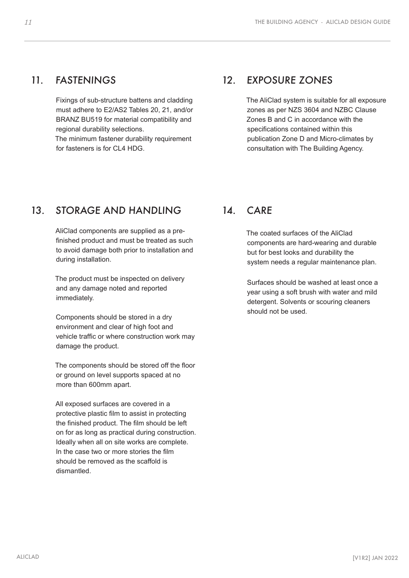#### <span id="page-10-0"></span>11. FASTENINGS

Fixings of sub-structure battens and cladding must adhere to E2/AS2 Tables 20, 21, and/or BRANZ BU519 for material compatibility and regional durability selections.

The minimum fastener durability requirement for fasteners is for CL4 HDG.

## 12. EXPOSURE ZONES

The AliClad system is suitable for all exposure zones as per NZS 3604 and NZBC Clause Zones B and C in accordance with the specifications contained within this publication Zone D and Micro-climates by consultation with The Building Agency.

## 13. STORAGE AND HANDLING

AliClad components are supplied as a prefinished product and must be treated as such to avoid damage both prior to installation and during installation.

The product must be inspected on delivery and any damage noted and reported immediately.

Components should be stored in a dry environment and clear of high foot and vehicle traffic or where construction work may damage the product.

The components should be stored off the floor or ground on level supports spaced at no more than 600mm apart.

All exposed surfaces are covered in a protective plastic film to assist in protecting the finished product. The film should be left on for as long as practical during construction. Ideally when all on site works are complete. In the case two or more stories the film should be removed as the scaffold is dismantled.

#### 14 CARF

The coated surfaces of the AliClad components are hard-wearing and durable but for best looks and durability the system needs a regular maintenance plan.

Surfaces should be washed at least once a year using a soft brush with water and mild detergent. Solvents or scouring cleaners should not be used.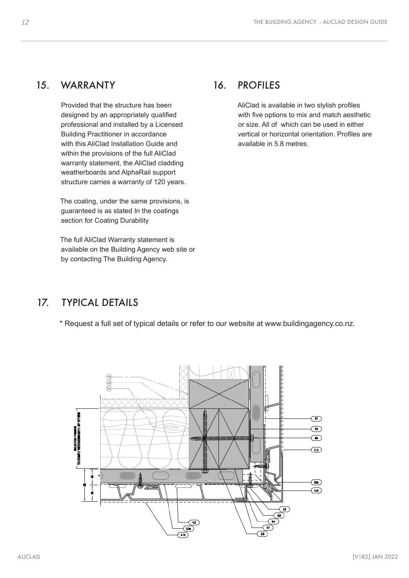#### <span id="page-11-0"></span>15. WARRANTY

Provided that the structure has been designed by an appropriately qualified professional and installed by a Licensed Building Practitioner in accordance with this AliClad Installation Guide and within the provisions of the full AliClad warranty statement, the AliClad cladding weatherboards and AlphaRail support structure carries a warranty of 120 years.

The coating, under the same provisions, is guaranteed is as stated In the coatings section for Coating Durability

The full AliClad Warranty statement is available on the Building Agency web site or by contacting The Building Agency.

#### 16. PROFILES

AliClad is available in two stylish profiles with five options to mix and match aesthetic or size. All of which can be used in either vertical or horizontal orientation. Profiles are available in 5.8 metres.

## 17. TYPICAL DETAILS

\* Request a full set of typical details or refer to our website at www.buildingagency.co.nz.